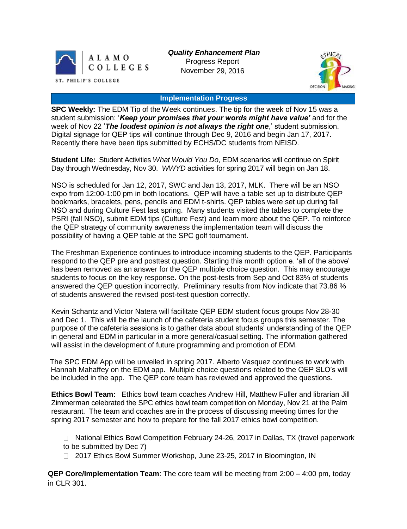

*Quality Enhancement Plan* Progress Report November 29, 2016



## **Implementation Progress**

**SPC Weekly:** The EDM Tip of the Week continues. The tip for the week of Nov 15 was a student submission: '*Keep your promises that your words might have value'* and for the week of Nov 22 '*The loudest opinion is not always the right one*,' student submission. Digital signage for QEP tips will continue through Dec 9, 2016 and begin Jan 17, 2017. Recently there have been tips submitted by ECHS/DC students from NEISD.

**Student Life:** Student Activities *What Would You Do*, EDM scenarios will continue on Spirit Day through Wednesday, Nov 30. *WWYD* activities for spring 2017 will begin on Jan 18.

NSO is scheduled for Jan 12, 2017, SWC and Jan 13, 2017, MLK. There will be an NSO expo from 12:00-1:00 pm in both locations. QEP will have a table set up to distribute QEP bookmarks, bracelets, pens, pencils and EDM t-shirts. QEP tables were set up during fall NSO and during Culture Fest last spring. Many students visited the tables to complete the PSRI (fall NSO), submit EDM tips (Culture Fest) and learn more about the QEP. To reinforce the QEP strategy of community awareness the implementation team will discuss the possibility of having a QEP table at the SPC golf tournament.

The Freshman Experience continues to introduce incoming students to the QEP. Participants respond to the QEP pre and posttest question. Starting this month option e. 'all of the above' has been removed as an answer for the QEP multiple choice question. This may encourage students to focus on the key response. On the post-tests from Sep and Oct 83% of students answered the QEP question incorrectly. Preliminary results from Nov indicate that 73.86 % of students answered the revised post-test question correctly.

Kevin Schantz and Victor Natera will facilitate QEP EDM student focus groups Nov 28-30 and Dec 1. This will be the launch of the cafeteria student focus groups this semester. The purpose of the cafeteria sessions is to gather data about students' understanding of the QEP in general and EDM in particular in a more general/casual setting. The information gathered will assist in the development of future programming and promotion of EDM.

The SPC EDM App will be unveiled in spring 2017. Alberto Vasquez continues to work with Hannah Mahaffey on the EDM app. Multiple choice questions related to the QEP SLO's will be included in the app. The QEP core team has reviewed and approved the questions.

**Ethics Bowl Team:** Ethics bowl team coaches Andrew Hill, Matthew Fuller and librarian Jill Zimmerman celebrated the SPC ethics bowl team competition on Monday, Nov 21 at the Palm restaurant. The team and coaches are in the process of discussing meeting times for the spring 2017 semester and how to prepare for the fall 2017 ethics bowl competition.

National Ethics Bowl Competition February 24-26, 2017 in Dallas, TX (travel paperwork to be submitted by Dec 7)

2017 Ethics Bowl Summer Workshop, June 23-25, 2017 in Bloomington, IN

**QEP Core/Implementation Team**: The core team will be meeting from 2:00 – 4:00 pm, today in CLR 301.